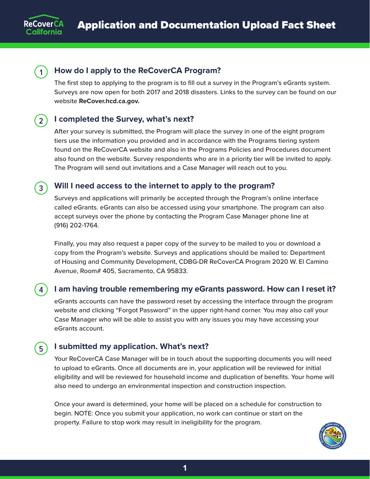



## **1 How do I apply to the ReCoverCA Program?**

The first step to applying to the program is to fill out a survey in the Program's eGrants system. Surveys are now open for both 2017 and 2018 disasters. Links to the survey can be found on our website **[ReCover.hcd.ca.gov](http://ReCover.hcd.ca.gov).**

### **2 I completed the Survey, what's next?**

After your survey is submitted, the Program will place the survey in one of the eight program tiers use the information you provided and in accordance with the Programs tiering system found on the ReCoverCA website and also in the Programs Policies and Procedures document also found on the website. Survey respondents who are in a priority tier will be invited to apply. The Program will send out invitations and a Case Manager will reach out to you.

# **3 Will I need access to the internet to apply to the program?**

Surveys and applications will primarily be accepted through the Program's online interface called eGrants. eGrants can also be accessed using your smartphone. The program can also accept surveys over the phone by contacting the Program Case Manager phone line at (916) 202-1764.

Finally, you may also request a paper copy of the survey to be mailed to you or download a copy from the Program's website. Surveys and applications should be mailed to: Department of Housing and Community Development, CDBG-DR ReCoverCA Program 2020 W. El Camino Avenue, Room# 405, Sacramento, CA 95833.

#### **4 I am having trouble remembering my eGrants password. How can I reset it?**

eGrants accounts can have the password reset by accessing the interface through the program website and clicking "Forgot Password" in the upper right-hand corner. You may also call your Case Manager who will be able to assist you with any issues you may have accessing your eGrants account.

# **5 I submitted my application. What's next?**

Your ReCoverCA Case Manager will be in touch about the supporting documents you will need to upload to eGrants. Once all documents are in, your application will be reviewed for initial eligibility and will be reviewed for household income and duplication of benefits. Your home will also need to undergo an environmental inspection and construction inspection.

Once your award is determined, your home will be placed on a schedule for construction to begin. NOTE: Once you submit your application, no work can continue or start on the property. Failure to stop work may result in ineligibility for the program.